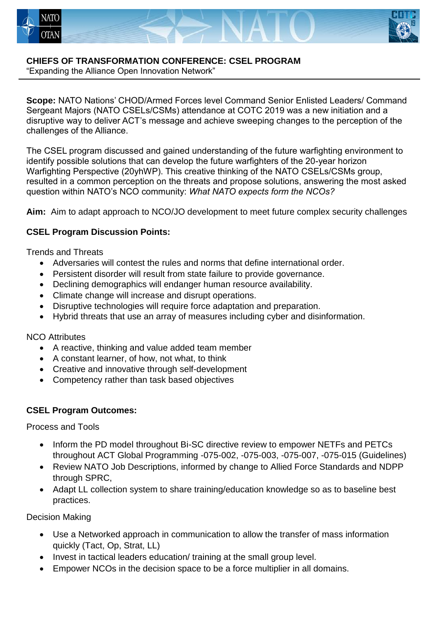



# **CHIEFS OF TRANSFORMATION CONFERENCE: CSEL PROGRAM**

"Expanding the Alliance Open Innovation Network"

**Scope:** NATO Nations' CHOD/Armed Forces level Command Senior Enlisted Leaders/ Command Sergeant Majors (NATO CSELs/CSMs) attendance at COTC 2019 was a new initiation and a disruptive way to deliver ACT's message and achieve sweeping changes to the perception of the challenges of the Alliance.

The CSEL program discussed and gained understanding of the future warfighting environment to identify possible solutions that can develop the future warfighters of the 20-year horizon Warfighting Perspective (20yhWP). This creative thinking of the NATO CSELs/CSMs group, resulted in a common perception on the threats and propose solutions, answering the most asked question within NATO's NCO community: *What NATO expects form the NCOs?*

**Aim:** Aim to adapt approach to NCO/JO development to meet future complex security challenges

## **CSEL Program Discussion Points:**

Trends and Threats

- Adversaries will contest the rules and norms that define international order.
- Persistent disorder will result from state failure to provide governance.
- Declining demographics will endanger human resource availability.
- Climate change will increase and disrupt operations.
- Disruptive technologies will require force adaptation and preparation.
- Hybrid threats that use an array of measures including cyber and disinformation.

### NCO Attributes

- A reactive, thinking and value added team member
- A constant learner, of how, not what, to think
- Creative and innovative through self-development
- Competency rather than task based objectives

## **CSEL Program Outcomes:**

Process and Tools

- Inform the PD model throughout Bi-SC directive review to empower NETFs and PETCs throughout ACT Global Programming -075-002, -075-003, -075-007, -075-015 (Guidelines)
- Review NATO Job Descriptions, informed by change to Allied Force Standards and NDPP through SPRC,
- Adapt LL collection system to share training/education knowledge so as to baseline best practices.

Decision Making

- Use a Networked approach in communication to allow the transfer of mass information quickly (Tact, Op, Strat, LL)
- Invest in tactical leaders education/ training at the small group level.
- Empower NCOs in the decision space to be a force multiplier in all domains.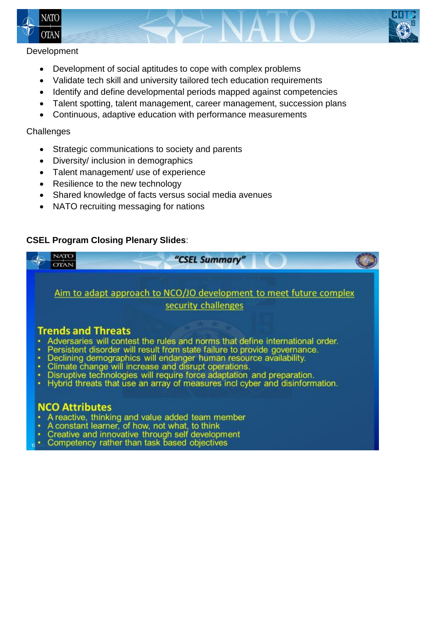



#### Development

- Development of social aptitudes to cope with complex problems
- Validate tech skill and university tailored tech education requirements
- Identify and define developmental periods mapped against competencies
- Talent spotting, talent management, career management, succession plans
- Continuous, adaptive education with performance measurements

#### **Challenges**

- Strategic communications to society and parents
- Diversity/ inclusion in demographics
- Talent management/ use of experience
- Resilience to the new technology
- Shared knowledge of facts versus social media avenues
- NATO recruiting messaging for nations

### **CSEL Program Closing Plenary Slides**:



- Creative and innovative through self development
- Competency rather than task based objectives